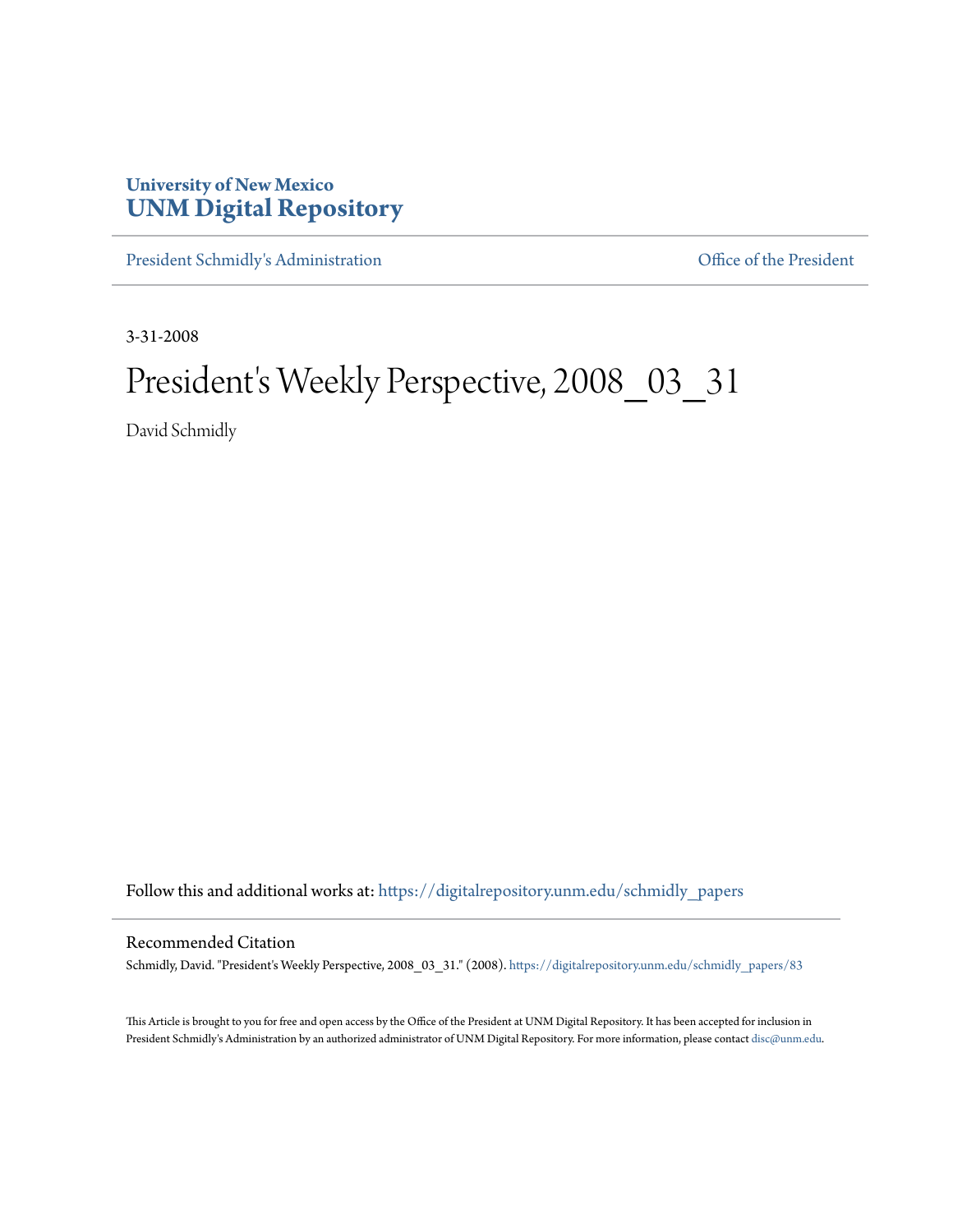## **University of New Mexico [UNM Digital Repository](https://digitalrepository.unm.edu?utm_source=digitalrepository.unm.edu%2Fschmidly_papers%2F83&utm_medium=PDF&utm_campaign=PDFCoverPages)**

[President Schmidly's Administration](https://digitalrepository.unm.edu/schmidly_papers?utm_source=digitalrepository.unm.edu%2Fschmidly_papers%2F83&utm_medium=PDF&utm_campaign=PDFCoverPages) [Office of the President](https://digitalrepository.unm.edu/ofc_president?utm_source=digitalrepository.unm.edu%2Fschmidly_papers%2F83&utm_medium=PDF&utm_campaign=PDFCoverPages)

3-31-2008

## President's Weekly Perspective, 2008\_03\_31

David Schmidly

Follow this and additional works at: [https://digitalrepository.unm.edu/schmidly\\_papers](https://digitalrepository.unm.edu/schmidly_papers?utm_source=digitalrepository.unm.edu%2Fschmidly_papers%2F83&utm_medium=PDF&utm_campaign=PDFCoverPages)

## Recommended Citation

Schmidly, David. "President's Weekly Perspective, 2008\_03\_31." (2008). [https://digitalrepository.unm.edu/schmidly\\_papers/83](https://digitalrepository.unm.edu/schmidly_papers/83?utm_source=digitalrepository.unm.edu%2Fschmidly_papers%2F83&utm_medium=PDF&utm_campaign=PDFCoverPages)

This Article is brought to you for free and open access by the Office of the President at UNM Digital Repository. It has been accepted for inclusion in President Schmidly's Administration by an authorized administrator of UNM Digital Repository. For more information, please contact [disc@unm.edu](mailto:disc@unm.edu).